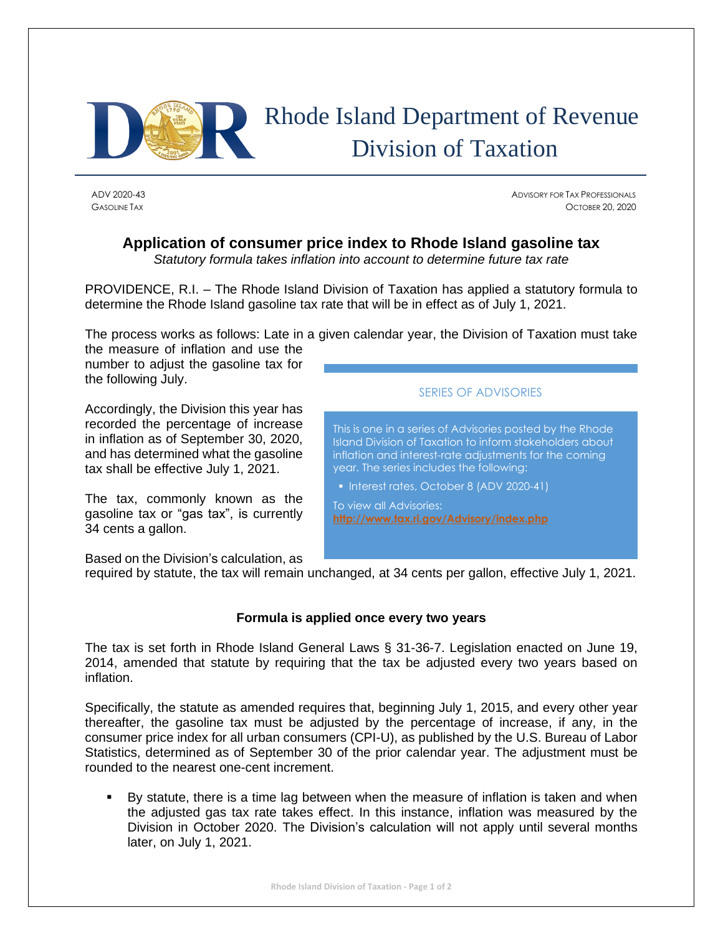

ADV 2020-43 ADVISORY FOR TAX PROFESSIONALS GASOLINE TAX OCTOBER 20, 2020

## **Application of consumer price index to Rhode Island gasoline tax**

*Statutory formula takes inflation into account to determine future tax rate*

PROVIDENCE, R.I. – The Rhode Island Division of Taxation has applied a statutory formula to determine the Rhode Island gasoline tax rate that will be in effect as of July 1, 2021.

The process works as follows: Late in a given calendar year, the Division of Taxation must take

the measure of inflation and use the number to adjust the gasoline tax for the following July.

Accordingly, the Division this year has recorded the percentage of increase in inflation as of September 30, 2020, and has determined what the gasoline tax shall be effective July 1, 2021.

The tax, commonly known as the gasoline tax or "gas tax", is currently 34 cents a gallon.

SERIES OF ADVISORIES

This is one in a series of Advisories posted by the Rhode Island Division of Taxation to inform stakeholders about inflation and interest-rate adjustments for the coming year. The series includes the following:

▪ Interest rates, October 8 (ADV 2020-41)

To view all Advisories: **<http://www.tax.ri.gov/Advisory/index.php>**

Based on the Division's calculation, as

required by statute, the tax will remain unchanged, at 34 cents per gallon, effective July 1, 2021.

## **Formula is applied once every two years**

The tax is set forth in Rhode Island General Laws § 31-36-7. Legislation enacted on June 19, 2014, amended that statute by requiring that the tax be adjusted every two years based on inflation.

Specifically, the statute as amended requires that, beginning July 1, 2015, and every other year thereafter, the gasoline tax must be adjusted by the percentage of increase, if any, in the consumer price index for all urban consumers (CPI-U), as published by the U.S. Bureau of Labor Statistics, determined as of September 30 of the prior calendar year. The adjustment must be rounded to the nearest one-cent increment.

By statute, there is a time lag between when the measure of inflation is taken and when the adjusted gas tax rate takes effect. In this instance, inflation was measured by the Division in October 2020. The Division's calculation will not apply until several months later, on July 1, 2021.